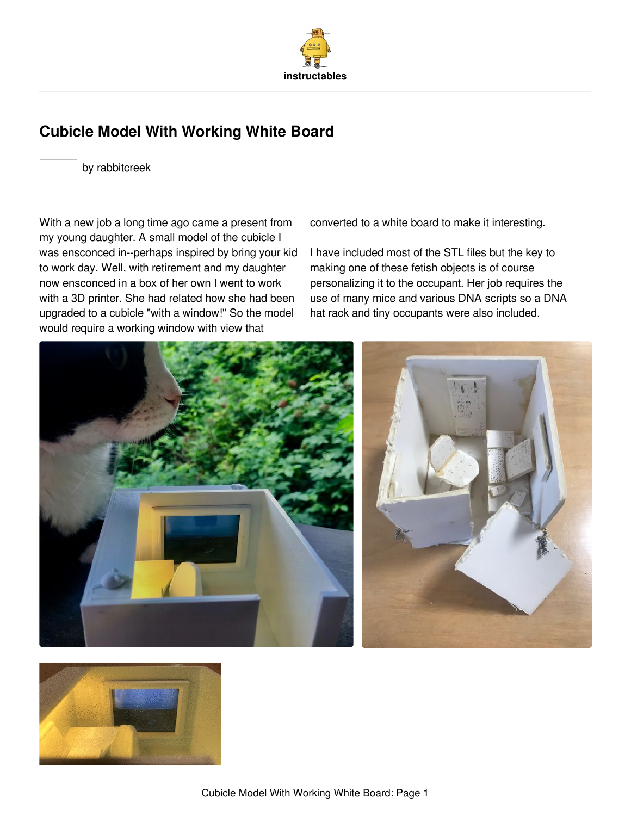

# **Cubicle Model With [Working](http://www.instructables.com/id/Cubicle-Model-With-Working-White-Board/) White Board**

by [rabbitcreek](http://www.instructables.com/member/rabbitcreek/)

With a new job a long time ago came a present from my young daughter. A small model of the cubicle I was ensconced in--perhaps inspired by bring your kid to work day. Well, with retirement and my daughter now ensconced in a box of her own I went to work with a 3D printer. She had related how she had been upgraded to a cubicle "with a window!" So the model would require a working window with view that

converted to a white board to make it interesting.

I have included most of the STL files but the key to making one of these fetish objects is of course personalizing it to the occupant. Her job requires the use of many mice and various DNA scripts so a DNA hat rack and tiny occupants were also included.



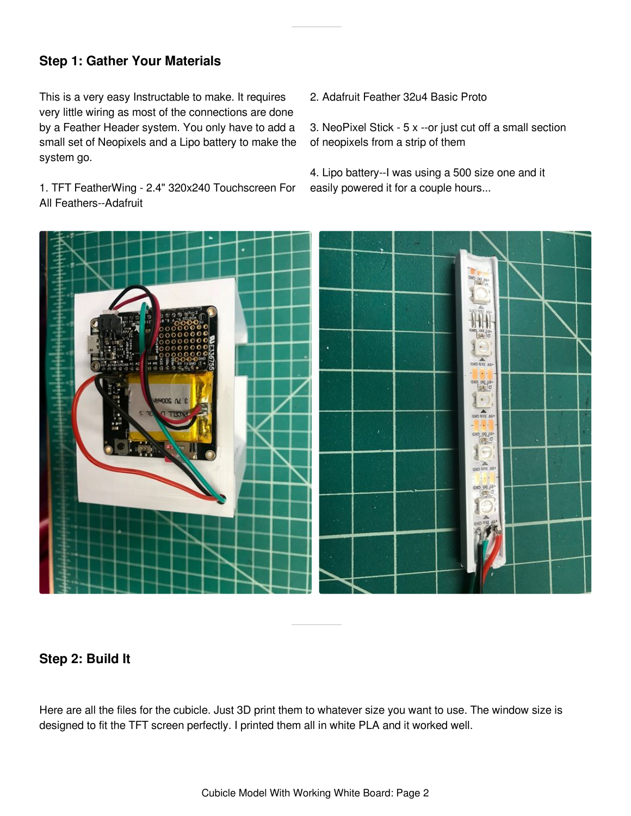#### **Step 1: Gather Your Materials**

This is a very easy Instructable to make. It requires very little wiring as most of the connections are done by a Feather Header system. You only have to add a small set of Neopixels and a Lipo battery to make the system go.

1. TFT FeatherWing - 2.4" 320x240 Touchscreen For All Feathers--Adafruit

2. Adafruit Feather 32u4 Basic Proto

3. NeoPixel Stick - 5 x --or just cut off a small section of neopixels from a strip of them

4. Lipo battery--I was using a 500 size one and it easily powered it for a couple hours...



#### **Step 2: Build It**

Here are all the files for the cubicle. Just 3D print them to whatever size you want to use. The window size is designed to fit the TFT screen perfectly. I printed them all in white PLA and it worked well.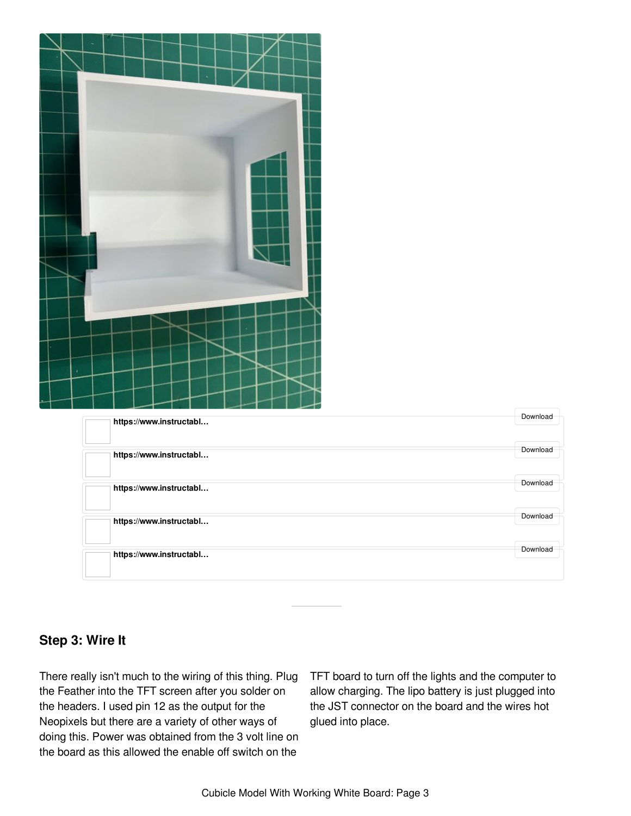| ï |  |                         |  |  |  |  |  |  |  |  |          |  |
|---|--|-------------------------|--|--|--|--|--|--|--|--|----------|--|
|   |  |                         |  |  |  |  |  |  |  |  |          |  |
|   |  |                         |  |  |  |  |  |  |  |  |          |  |
|   |  | https://www.instructabl |  |  |  |  |  |  |  |  | Download |  |
|   |  |                         |  |  |  |  |  |  |  |  | Download |  |
|   |  | https://www.instructabl |  |  |  |  |  |  |  |  |          |  |
|   |  | https://www.instructabl |  |  |  |  |  |  |  |  | Download |  |
|   |  |                         |  |  |  |  |  |  |  |  |          |  |
|   |  | https://www.instructabl |  |  |  |  |  |  |  |  | Download |  |
|   |  |                         |  |  |  |  |  |  |  |  | Download |  |
|   |  | https://www.instructabl |  |  |  |  |  |  |  |  |          |  |
|   |  |                         |  |  |  |  |  |  |  |  |          |  |

### **Step 3: Wire It**

There really isn't much to the wiring of this thing. Plug the Feather into the TFT screen after you solder on the headers. I used pin 12 as the output for the Neopixels but there are a variety of other ways of doing this. Power was obtained from the 3 volt line on the board as this allowed the enable off switch on the

TFT board to turn off the lights and the computer to allow charging. The lipo battery is just plugged into the JST connector on the board and the wires hot glued into place.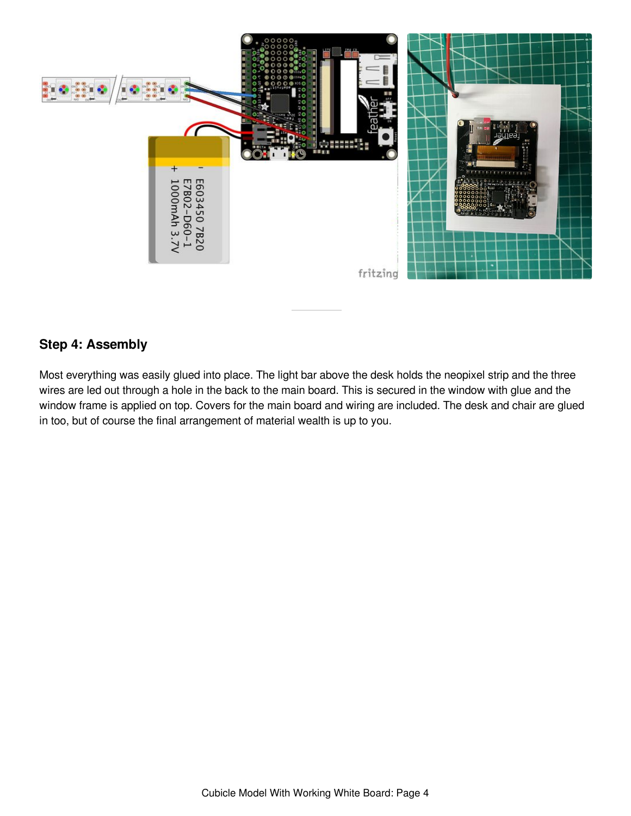

#### **Step 4: Assembly**

Most everything was easily glued into place. The light bar above the desk holds the neopixel strip and the three wires are led out through a hole in the back to the main board. This is secured in the window with glue and the window frame is applied on top. Covers for the main board and wiring are included. The desk and chair are glued in too, but of course the final arrangement of material wealth is up to you.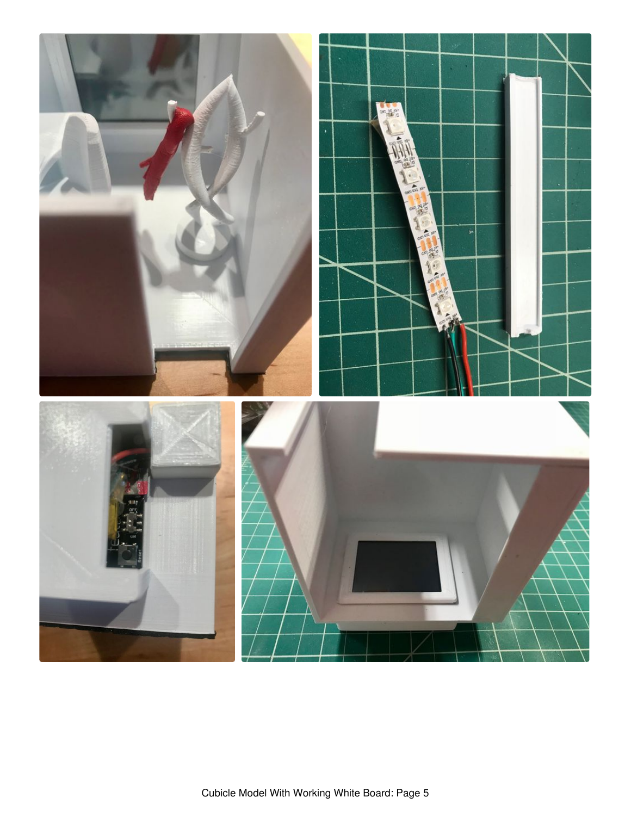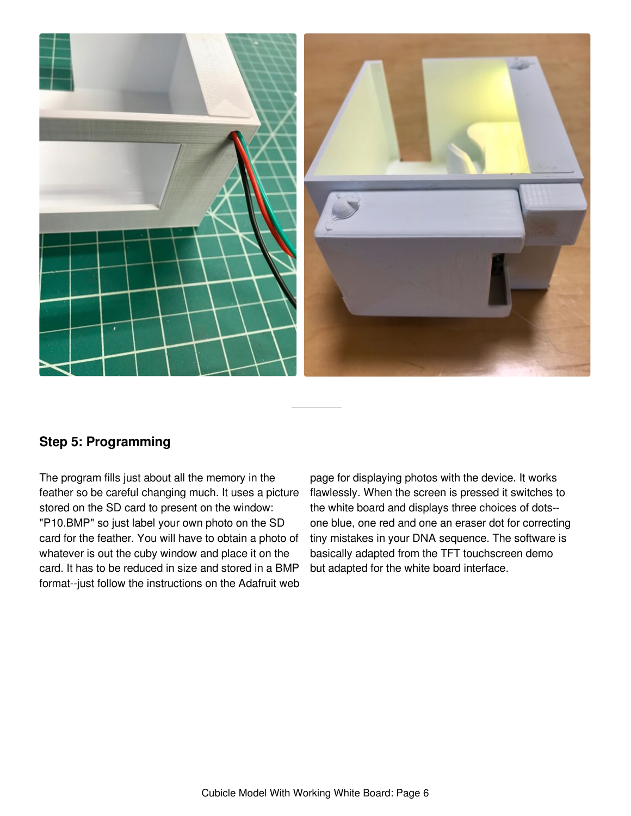

#### **Step 5: Programming**

The program fills just about all the memory in the feather so be careful changing much. It uses a picture stored on the SD card to present on the window: "P10.BMP" so just label your own photo on the SD card for the feather. You will have to obtain a photo of whatever is out the cuby window and place it on the card. It has to be reduced in size and stored in a BMP format--just follow the instructions on the Adafruit web

page for displaying photos with the device. It works flawlessly. When the screen is pressed it switches to the white board and displays three choices of dots- one blue, one red and one an eraser dot for correcting tiny mistakes in your DNA sequence. The software is basically adapted from the TFT touchscreen demo but adapted for the white board interface.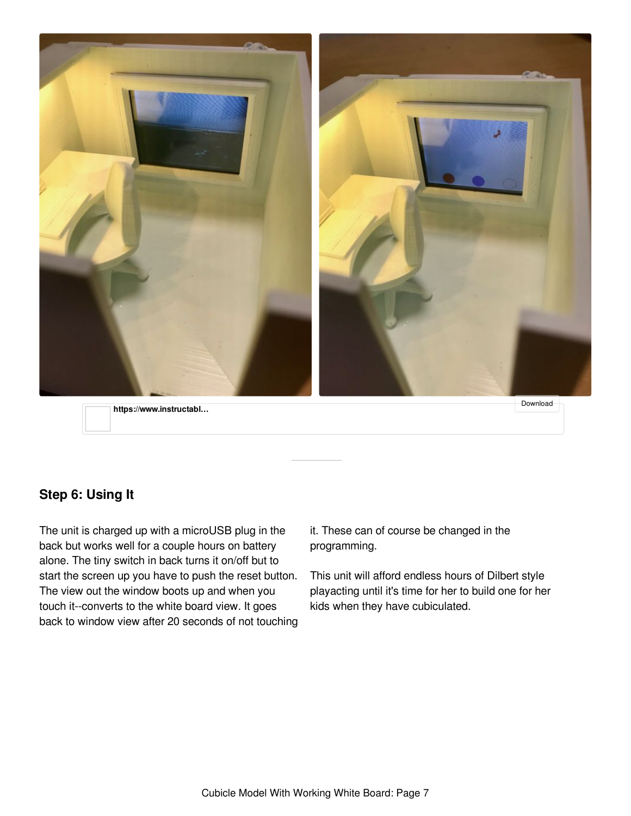

**https://www.instructabl...** 

## **Step 6: Using It**

The unit is charged up with a microUSB plug in the back but works well for a couple hours on battery alone. The tiny switch in back turns it on/off but to start the screen up you have to push the reset button. The view out the window boots up and when you touch it--converts to the white board view. It goes back to window view after 20 seconds of not touching it. These can of course be changed in the programming.

This unit will afford endless hours of Dilbert style playacting until it's time for her to build one for her kids when they have cubiculated.